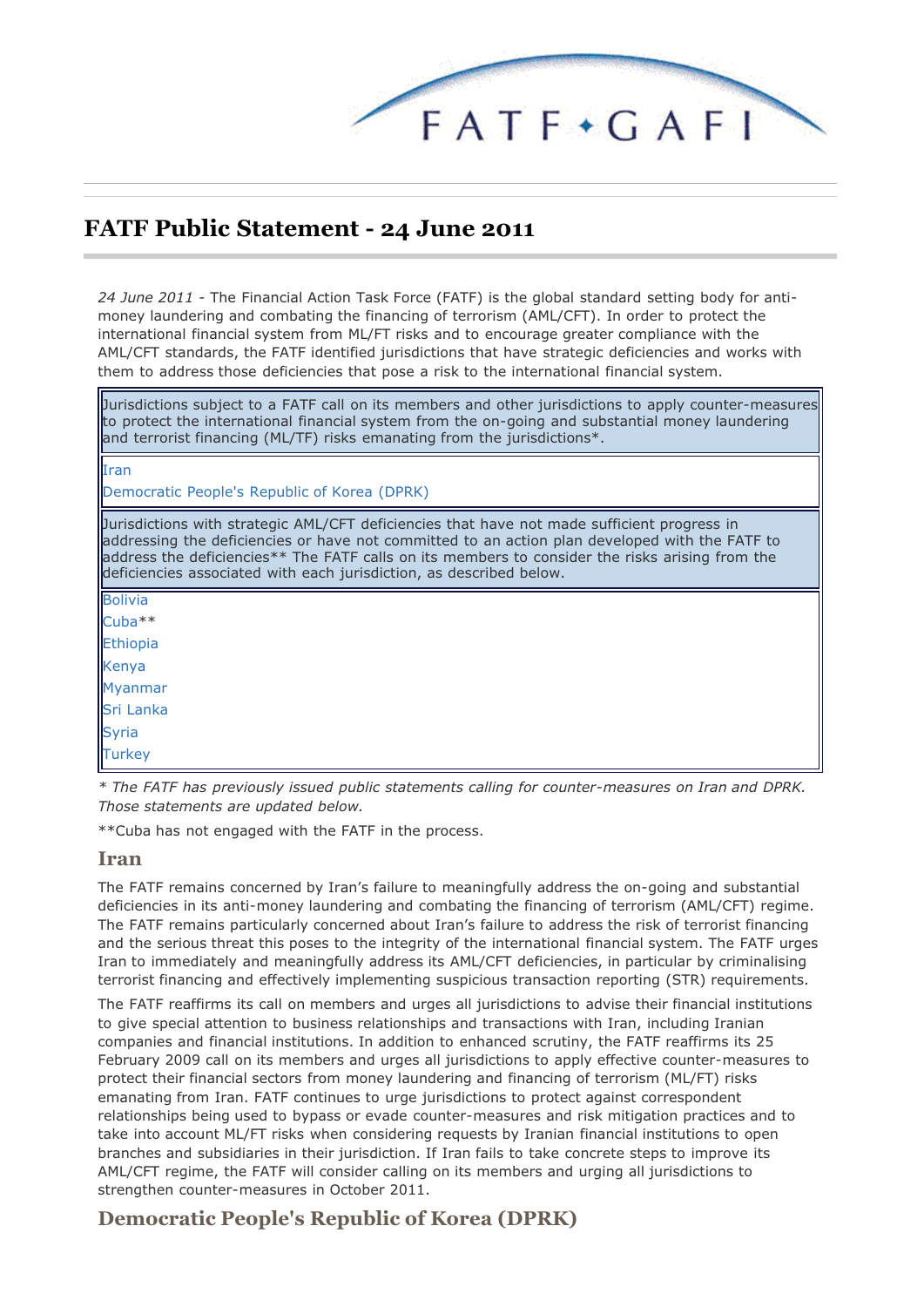

# **FATF Public Statement - 24 June 2011**

*24 June 2011 -* The Financial Action Task Force (FATF) is the global standard setting body for antimoney laundering and combating the financing of terrorism (AML/CFT). In order to protect the international financial system from ML/FT risks and to encourage greater compliance with the AML/CFT standards, the FATF identified jurisdictions that have strategic deficiencies and works with them to address those deficiencies that pose a risk to the international financial system.

Jurisdictions subject to a FATF call on its members and other jurisdictions to apply counter-measures to protect the international financial system from the on-going and substantial money laundering and terrorist financing (ML/TF) risks emanating from the jurisdictions\*.

#### Iran

Democratic People's Republic of Korea (DPRK)

Jurisdictions with strategic AML/CFT deficiencies that have not made sufficient progress in addressing the deficiencies or have not committed to an action plan developed with the FATF to address the deficiencies\*\* The FATF calls on its members to consider the risks arising from the deficiencies associated with each jurisdiction, as described below.

Bolivia Cuba\*\* Ethiopia Kenya Myanmar Sri Lanka Syria **Turkey** 

*\* The FATF has previously issued public statements calling for counter-measures on Iran and DPRK. Those statements are updated below.*

\*\*Cuba has not engaged with the FATF in the process.

#### **Iran**

The FATF remains concerned by Iran's failure to meaningfully address the on-going and substantial deficiencies in its anti-money laundering and combating the financing of terrorism (AML/CFT) regime. The FATF remains particularly concerned about Iran's failure to address the risk of terrorist financing and the serious threat this poses to the integrity of the international financial system. The FATF urges Iran to immediately and meaningfully address its AML/CFT deficiencies, in particular by criminalising terrorist financing and effectively implementing suspicious transaction reporting (STR) requirements.

The FATF reaffirms its call on members and urges all jurisdictions to advise their financial institutions to give special attention to business relationships and transactions with Iran, including Iranian companies and financial institutions. In addition to enhanced scrutiny, the FATF reaffirms its 25 February 2009 call on its members and urges all jurisdictions to apply effective counter-measures to protect their financial sectors from money laundering and financing of terrorism (ML/FT) risks emanating from Iran. FATF continues to urge jurisdictions to protect against correspondent relationships being used to bypass or evade counter-measures and risk mitigation practices and to take into account ML/FT risks when considering requests by Iranian financial institutions to open branches and subsidiaries in their jurisdiction. If Iran fails to take concrete steps to improve its AML/CFT regime, the FATF will consider calling on its members and urging all jurisdictions to strengthen counter-measures in October 2011.

#### **Democratic People's Republic of Korea (DPRK)**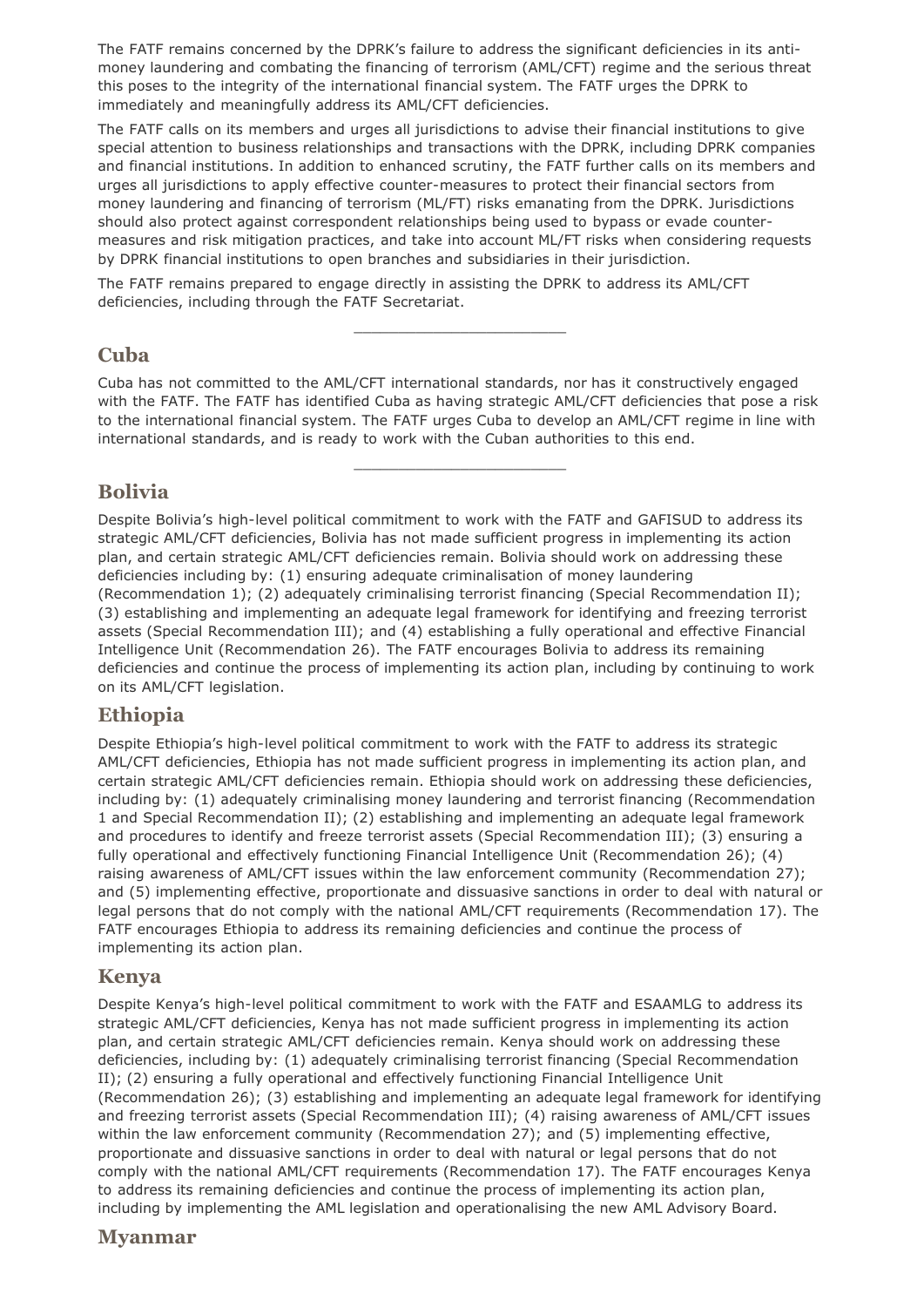The FATF remains concerned by the DPRK's failure to address the significant deficiencies in its antimoney laundering and combating the financing of terrorism (AML/CFT) regime and the serious threat this poses to the integrity of the international financial system. The FATF urges the DPRK to immediately and meaningfully address its AML/CFT deficiencies.

The FATF calls on its members and urges all jurisdictions to advise their financial institutions to give special attention to business relationships and transactions with the DPRK, including DPRK companies and financial institutions. In addition to enhanced scrutiny, the FATF further calls on its members and urges all jurisdictions to apply effective counter-measures to protect their financial sectors from money laundering and financing of terrorism (ML/FT) risks emanating from the DPRK. Jurisdictions should also protect against correspondent relationships being used to bypass or evade countermeasures and risk mitigation practices, and take into account ML/FT risks when considering requests by DPRK financial institutions to open branches and subsidiaries in their jurisdiction.

The FATF remains prepared to engage directly in assisting the DPRK to address its AML/CFT deficiencies, including through the FATF Secretariat.

#### **Cuba**

Cuba has not committed to the AML/CFT international standards, nor has it constructively engaged with the FATF. The FATF has identified Cuba as having strategic AML/CFT deficiencies that pose a risk to the international financial system. The FATF urges Cuba to develop an AML/CFT regime in line with international standards, and is ready to work with the Cuban authorities to this end.

\_\_\_\_\_\_\_\_\_\_\_\_\_\_\_\_\_\_\_\_\_\_\_\_

\_\_\_\_\_\_\_\_\_\_\_\_\_\_\_\_\_\_\_\_\_\_\_\_

## **Bolivia**

Despite Bolivia's high-level political commitment to work with the FATF and GAFISUD to address its strategic AML/CFT deficiencies, Bolivia has not made sufficient progress in implementing its action plan, and certain strategic AML/CFT deficiencies remain. Bolivia should work on addressing these deficiencies including by: (1) ensuring adequate criminalisation of money laundering (Recommendation 1); (2) adequately criminalising terrorist financing (Special Recommendation II); (3) establishing and implementing an adequate legal framework for identifying and freezing terrorist assets (Special Recommendation III); and (4) establishing a fully operational and effective Financial Intelligence Unit (Recommendation 26). The FATF encourages Bolivia to address its remaining deficiencies and continue the process of implementing its action plan, including by continuing to work on its AML/CFT legislation.

#### **Ethiopia**

Despite Ethiopia's high-level political commitment to work with the FATF to address its strategic AML/CFT deficiencies, Ethiopia has not made sufficient progress in implementing its action plan, and certain strategic AML/CFT deficiencies remain. Ethiopia should work on addressing these deficiencies, including by: (1) adequately criminalising money laundering and terrorist financing (Recommendation 1 and Special Recommendation II); (2) establishing and implementing an adequate legal framework and procedures to identify and freeze terrorist assets (Special Recommendation III); (3) ensuring a fully operational and effectively functioning Financial Intelligence Unit (Recommendation 26); (4) raising awareness of AML/CFT issues within the law enforcement community (Recommendation 27); and (5) implementing effective, proportionate and dissuasive sanctions in order to deal with natural or legal persons that do not comply with the national AML/CFT requirements (Recommendation 17). The FATF encourages Ethiopia to address its remaining deficiencies and continue the process of implementing its action plan.

#### **Kenya**

Despite Kenya's high-level political commitment to work with the FATF and ESAAMLG to address its strategic AML/CFT deficiencies, Kenya has not made sufficient progress in implementing its action plan, and certain strategic AML/CFT deficiencies remain. Kenya should work on addressing these deficiencies, including by: (1) adequately criminalising terrorist financing (Special Recommendation II); (2) ensuring a fully operational and effectively functioning Financial Intelligence Unit (Recommendation 26); (3) establishing and implementing an adequate legal framework for identifying and freezing terrorist assets (Special Recommendation III); (4) raising awareness of AML/CFT issues within the law enforcement community (Recommendation 27); and (5) implementing effective, proportionate and dissuasive sanctions in order to deal with natural or legal persons that do not comply with the national AML/CFT requirements (Recommendation 17). The FATF encourages Kenya to address its remaining deficiencies and continue the process of implementing its action plan, including by implementing the AML legislation and operationalising the new AML Advisory Board.

#### **Myanmar**